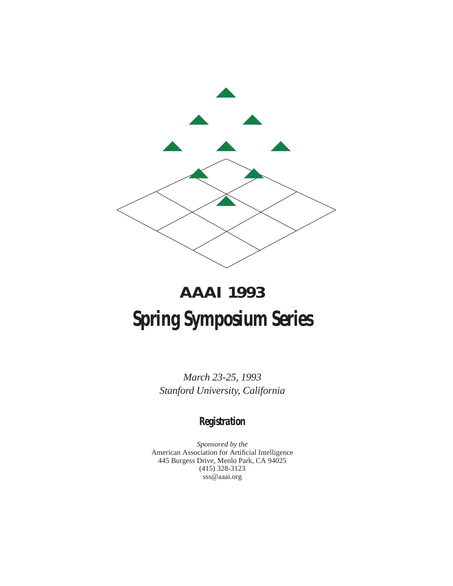

# **AAAI 1993 Spring Symposium Series**

*March 23-25, 1993 Stanford University, California*

# **Registration**

*Sponsored by the* American Association for Artificial Intelligence 445 Burgess Drive, Menlo Park, CA 94025 (415) 328-3123 sss@aaai.org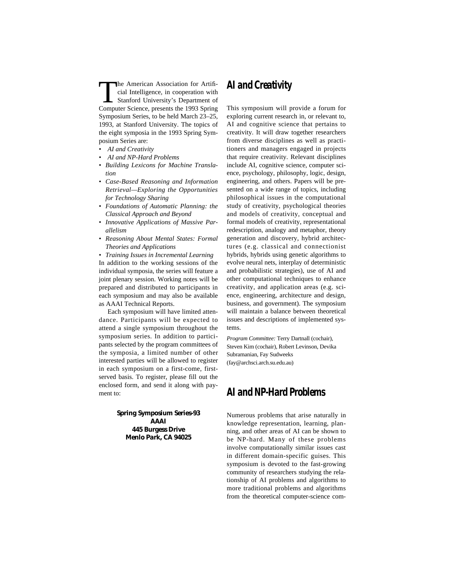The American Association for Artificial Intelligence, in cooperation with<br>
Stanford University's Department of<br>
Computer Science, presents the 1993 Spring cial Intelligence, in cooperation with Computer Science, presents the 1993 Spring Symposium Series, to be held March 23–25, 1993, at Stanford University. The topics of the eight symposia in the 1993 Spring Symposium Series are:

- *• AI and Creativity*
- *• AI and NP-Hard Problems*
- *• Building Lexicons for Machine Translation*
- *• Case-Based Reasoning and Information Retrieval—Exploring the Opportunities for Technology Sharing*
- *• Foundations of Automatic Planning: the Classical Approach and Beyond*
- *• Innovative Applications of Massive Parallelism*
- *• Reasoning About Mental States: Formal Theories and Applications*

*• Training Issues in Incremental Learning* In addition to the working sessions of the individual symposia, the series will feature a joint plenary session. Working notes will be prepared and distributed to participants in each symposium and may also be available as AAAI Technical Reports.

Each symposium will have limited attendance. Participants will be expected to attend a single symposium throughout the symposium series. In addition to participants selected by the program committees of the symposia, a limited number of other interested parties will be allowed to register in each symposium on a first-come, firstserved basis. To register, please fill out the enclosed form, and send it along with payment to:

> **Spring Symposium Series-93 AAAI 445 Burgess Drive Menlo Park, CA 94025**

# **AI and Creativity**

This symposium will provide a forum for exploring current research in, or relevant to, AI and cognitive science that pertains to creativity. It will draw together researchers from diverse disciplines as well as practitioners and managers engaged in projects that require creativity. Relevant disciplines include AI, cognitive science, computer science, psychology, philosophy, logic, design, engineering, and others. Papers will be presented on a wide range of topics, including philosophical issues in the computational study of creativity, psychological theories and models of creativity, conceptual and formal models of creativity, representational redescription, analogy and metaphor, theory generation and discovery, hybrid architectures (e.g. classical and connectionist hybrids, hybrids using genetic algorithms to evolve neural nets, interplay of deterministic and probabilistic strategies), use of AI and other computational techniques to enhance creativity, and application areas (e.g. science, engineering, architecture and design, business, and government). The symposium will maintain a balance between theoretical issues and descriptions of implemented systems.

*Program Committee:* Terry Dartnall (cochair), Steven Kim (cochair), Robert Levinson, Devika Subramanian, Fay Sudweeks (fay@archsci.arch.su.edu.au)

# **AI and NP-Hard Problems**

Numerous problems that arise naturally in knowledge representation, learning, planning, and other areas of AI can be shown to be NP-hard. Many of these problems involve computationally similar issues cast in different domain-specific guises. This symposium is devoted to the fast-growing community of researchers studying the relationship of AI problems and algorithms to more traditional problems and algorithms from the theoretical computer-science com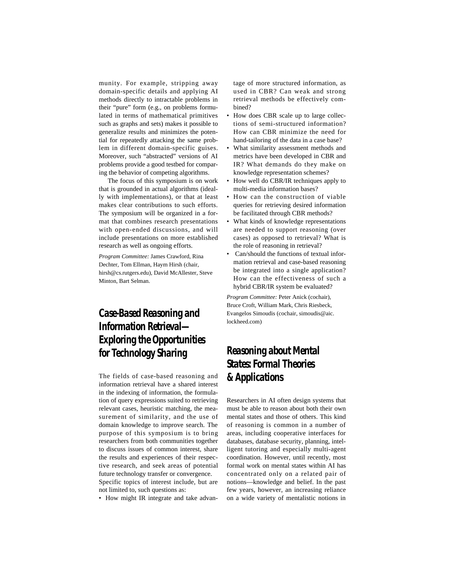munity. For example, stripping away domain-specific details and applying AI methods directly to intractable problems in their "pure" form (e.g., on problems formulated in terms of mathematical primitives such as graphs and sets) makes it possible to generalize results and minimizes the potential for repeatedly attacking the same problem in different domain-specific guises. Moreover, such "abstracted" versions of AI problems provide a good testbed for comparing the behavior of competing algorithms.

The focus of this symposium is on work that is grounded in actual algorithms (ideally with implementations), or that at least makes clear contributions to such efforts. The symposium will be organized in a format that combines research presentations with open-ended discussions, and will include presentations on more established research as well as ongoing efforts.

*Program Committee:* James Crawford, Rina Dechter, Tom Ellman, Haym Hirsh (chair, hirsh@cs.rutgers.edu), David McAllester, Steve Minton, Bart Selman.

# **Case-Based Reasoning and Information Retrieval— Exploring the Opportunities for Technology Sharing**

The fields of case-based reasoning and information retrieval have a shared interest in the indexing of information, the formulation of query expressions suited to retrieving relevant cases, heuristic matching, the measurement of similarity, and the use of domain knowledge to improve search. The purpose of this symposium is to bring researchers from both communities together to discuss issues of common interest, share the results and experiences of their respective research, and seek areas of potential future technology transfer or convergence. Specific topics of interest include, but are

not limited to, such questions as:

• How might IR integrate and take advan-

tage of more structured information, as used in CBR? Can weak and strong retrieval methods be effectively combined?

- How does CBR scale up to large collections of semi-structured information? How can CBR minimize the need for hand-tailoring of the data in a case base?
- What similarity assessment methods and metrics have been developed in CBR and IR? What demands do they make on knowledge representation schemes?
- How well do CBR/IR techniques apply to multi-media information bases?
- How can the construction of viable queries for retrieving desired information be facilitated through CBR methods?
- What kinds of knowledge representations are needed to support reasoning (over cases) as opposed to retrieval? What is the role of reasoning in retrieval?
- Can/should the functions of textual information retrieval and case-based reasoning be integrated into a single application? How can the effectiveness of such a hybrid CBR/IR system be evaluated?

*Program Committee:* Peter Anick (cochair), Bruce Croft, William Mark, Chris Riesbeck, Evangelos Simoudis (cochair, simoudis@aic. lockheed.com)

# **Reasoning about Mental States: Formal Theories & Applications**

Researchers in AI often design systems that must be able to reason about both their own mental states and those of others. This kind of reasoning is common in a number of areas, including cooperative interfaces for databases, database security, planning, intelligent tutoring and especially multi-agent coordination. However, until recently, most formal work on mental states within AI has concentrated only on a related pair of notions—knowledge and belief. In the past few years, however, an increasing reliance on a wide variety of mentalistic notions in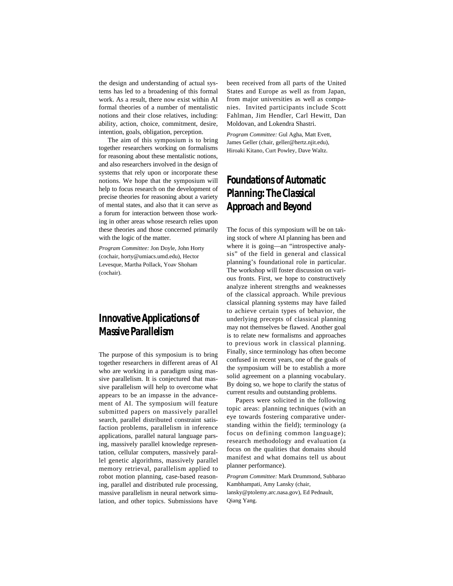the design and understanding of actual systems has led to a broadening of this formal work. As a result, there now exist within AI formal theories of a number of mentalistic notions and their close relatives, including: ability, action, choice, commitment, desire, intention, goals, obligation, perception.

The aim of this symposium is to bring together researchers working on formalisms for reasoning about these mentalistic notions, and also researchers involved in the design of systems that rely upon or incorporate these notions. We hope that the symposium will help to focus research on the development of precise theories for reasoning about a variety of mental states, and also that it can serve as a forum for interaction between those working in other areas whose research relies upon these theories and those concerned primarily with the logic of the matter.

*Program Committee:* Jon Doyle, John Horty (cochair, horty@umiacs.umd.edu), Hector Levesque, Martha Pollack, Yoav Shoham (cochair).

# **Innovative Applications of Massive Parallelism**

The purpose of this symposium is to bring together researchers in different areas of AI who are working in a paradigm using massive parallelism. It is conjectured that massive parallelism will help to overcome what appears to be an impasse in the advancement of AI. The symposium will feature submitted papers on massively parallel search, parallel distributed constraint satisfaction problems, parallelism in inference applications, parallel natural language parsing, massively parallel knowledge representation, cellular computers, massively parallel genetic algorithms, massively parallel memory retrieval, parallelism applied to robot motion planning, case-based reasoning, parallel and distributed rule processing, massive parallelism in neural network simulation, and other topics. Submissions have

been received from all parts of the United States and Europe as well as from Japan, from major universities as well as companies. Invited participants include Scott Fahlman, Jim Hendler, Carl Hewitt, Dan Moldovan, and Lokendra Shastri.

*Program Committee:* Gul Agha, Matt Evett, James Geller (chair, geller@hertz.njit.edu), Hiroaki Kitano, Curt Powley, Dave Waltz.

# **Foundations of Automatic Planning: The Classical Approach and Beyond**

The focus of this symposium will be on taking stock of where AI planning has been and where it is going—an "introspective analysis" of the field in general and classical planning's foundational role in particular. The workshop will foster discussion on various fronts. First, we hope to constructively analyze inherent strengths and weaknesses of the classical approach. While previous classical planning systems may have failed to achieve certain types of behavior, the underlying precepts of classical planning may not themselves be flawed. Another goal is to relate new formalisms and approaches to previous work in classical planning. Finally, since terminology has often become confused in recent years, one of the goals of the symposium will be to establish a more solid agreement on a planning vocabulary. By doing so, we hope to clarify the status of current results and outstanding problems.

Papers were solicited in the following topic areas: planning techniques (with an eye towards fostering comparative understanding within the field); terminology (a focus on defining common language); research methodology and evaluation (a focus on the qualities that domains should manifest and what domains tell us about planner performance).

*Program Committee:* Mark Drummond, Subbarao Kambhampati, Amy Lansky (chair,

lansky@ptolemy.arc.nasa.gov), Ed Pednault, Qiang Yang.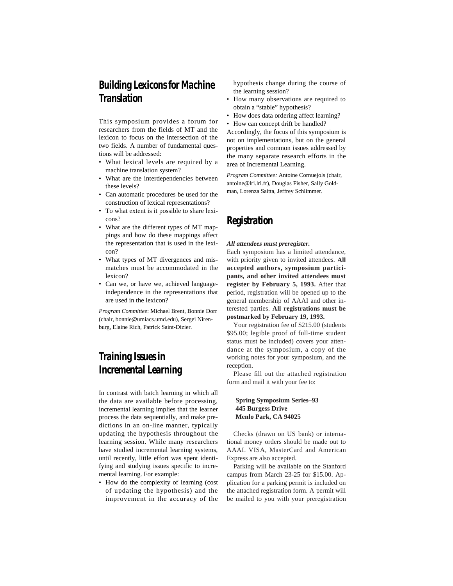# **Building Lexicons for Machine Translation**

This symposium provides a forum for researchers from the fields of MT and the lexicon to focus on the intersection of the two fields. A number of fundamental questions will be addressed:

- What lexical levels are required by a machine translation system?
- What are the interdependencies between these levels?
- Can automatic procedures be used for the construction of lexical representations?
- To what extent is it possible to share lexicons?
- What are the different types of MT mappings and how do these mappings affect the representation that is used in the lexicon?
- What types of MT divergences and mismatches must be accommodated in the lexicon?
- Can we, or have we, achieved languageindependence in the representations that are used in the lexicon?

*Program Committee*: Michael Brent, Bonnie Dorr (chair, bonnie@umiacs.umd.edu), Sergei Nirenburg, Elaine Rich, Patrick Saint-Dizier.

# **Training Issues in Incremental Learning**

In contrast with batch learning in which all the data are available before processing, incremental learning implies that the learner process the data sequentially, and make predictions in an on-line manner, typically updating the hypothesis throughout the learning session. While many researchers have studied incremental learning systems, until recently, little effort was spent identifying and studying issues specific to incremental learning. For example:

• How do the complexity of learning (cost of updating the hypothesis) and the improvement in the accuracy of the hypothesis change during the course of the learning session?

- How many observations are required to obtain a "stable" hypothesis?
- How does data ordering affect learning?
- How can concept drift be handled?

Accordingly, the focus of this symposium is not on implementations, but on the general properties and common issues addressed by the many separate research efforts in the area of Incremental Learning.

*Program Committee:* Antoine Cornuejols (chair, antoine@lri.lri.fr), Douglas Fisher, Sally Goldman, Lorenza Saitta, Jeffrey Schlimmer.

# **Registration**

#### *All attendees must preregister.*

Each symposium has a limited attendance, with priority given to invited attendees. **All accepted authors, symposium participants, and other invited attendees must register by February 5, 1993.** After that period, registration will be opened up to the general membership of AAAI and other interested parties. **All registrations must be postmarked by February 19, 1993.**

Your registration fee of \$215.00 (students \$95.00; legible proof of full-time student status must be included) covers your attendance at the symposium, a copy of the working notes for your symposium, and the reception.

Please fill out the attached registration form and mail it with your fee to:

### **Spring Symposium Series–93 445 Burgess Drive Menlo Park, CA 94025**

Checks (drawn on US bank) or international money orders should be made out to AAAI. VISA, MasterCard and American Express are also accepted.

Parking will be available on the Stanford campus from March 23-25 for \$15.00. Application for a parking permit is included on the attached registration form. A permit will be mailed to you with your preregistration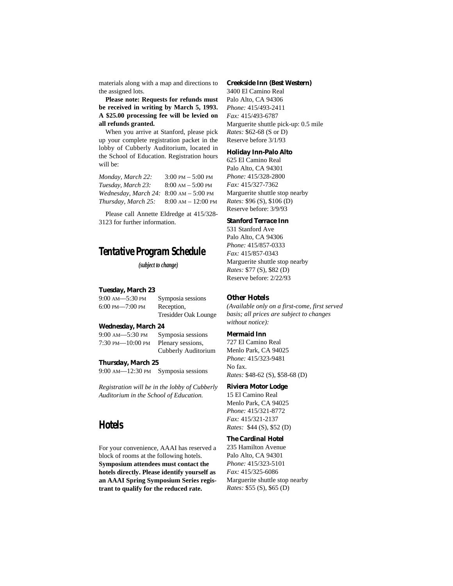materials along with a map and directions to the assigned lots.

**Please note: Requests for refunds must be received in writing by March 5, 1993. A \$25.00 processing fee will be levied on all refunds granted.**

When you arrive at Stanford, please pick up your complete registration packet in the lobby of Cubberly Auditorium, located in the School of Education. Registration hours will be:

| Monday, March 22:                                       | $3:00 \text{ PM} - 5:00 \text{ PM}$  |
|---------------------------------------------------------|--------------------------------------|
| Tuesday, March 23:                                      | $8:00 \text{ AM} - 5:00 \text{ PM}$  |
| <i>Wednesday, March 24:</i> 8:00 $AM - 5:00 \text{ PM}$ |                                      |
| Thursday, March 25:                                     | $8:00 \text{ AM} - 12:00 \text{ PM}$ |

Please call Annette Eldredge at 415/328- 3123 for further information.

# **Tentative Program Schedule**

*(subject to change)*

### **Tuesday, March 23**

| $9:00$ AM $-5:30$ PM  | Symposia sessions           |
|-----------------------|-----------------------------|
| $6:00$ PM- $-7:00$ PM | Reception,                  |
|                       | <b>Tresidder Oak Lounge</b> |

#### **Wednesday, March 24**

9:00 AM––5:30 PM Symposia sessions 7:30 PM––10:00 PM Plenary sessions, Cubberly Auditorium

**Thursday, March 25**

9:00 AM––12:30 PM Symposia sessions

*Registration will be in the lobby of Cubberly Auditorium in the School of Education.*

# **Hotels**

For your convenience, AAAI has reserved a block of rooms at the following hotels. **Symposium attendees must contact the hotels directly. Please identify yourself as an AAAI Spring Symposium Series registrant to qualify for the reduced rate.**

#### **Creekside Inn (Best Western)**

3400 El Camino Real Palo Alto, CA 94306 *Phone:* 415/493-2411 *Fax:* 415/493-6787 Marguerite shuttle pick-up: 0.5 mile *Rates:* \$62-68 (S or D) Reserve before 3/1/93

#### **Holiday Inn-Palo Alto**

625 El Camino Real Palo Alto, CA 94301 *Phone:* 415/328-2800 *Fax:* 415/327-7362 Marguerite shuttle stop nearby *Rates:* \$96 (S), \$106 (D) Reserve before: 3/9/93

### **Stanford Terrace Inn**

531 Stanford Ave Palo Alto, CA 94306 *Phone:* 415/857-0333 *Fax:* 415/857-0343 Marguerite shuttle stop nearby *Rates:* \$77 (S), \$82 (D) Reserve before: 2/22/93

### **Other Hotels**

*(Available only on a first-come, first served basis; all prices are subject to changes without notice):*

### **Mermaid Inn**

727 El Camino Real Menlo Park, CA 94025 *Phone:* 415/323-9481 No fax. *Rates:* \$48-62 (S), \$58-68 (D)

### **Riviera Motor Lodge**

15 El Camino Real Menlo Park, CA 94025 *Phone:* 415/321-8772 *Fax:* 415/321-2137 *Rates:* \$44 (S), \$52 (D)

### **The Cardinal Hotel**

235 Hamilton Avenue Palo Alto, CA 94301 *Phone:* 415/323-5101 *Fax:* 415/325-6086 Marguerite shuttle stop nearby *Rates:* \$55 (S), \$65 (D)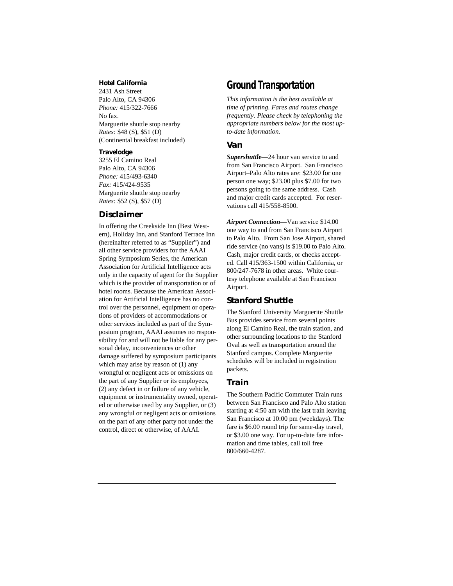### **Hotel California**

2431 Ash Street Palo Alto, CA 94306 *Phone:* 415/322-7666 No fax. Marguerite shuttle stop nearby *Rates:* \$48 (S), \$51 (D) (Continental breakfast included)

### **Travelodge**

3255 El Camino Real Palo Alto, CA 94306 *Phone:* 415/493-6340 *Fax:* 415/424-9535 Marguerite shuttle stop nearby *Rates:* \$52 (S), \$57 (D)

### **Disclaimer**

In offering the Creekside Inn (Best Western), Holiday Inn, and Stanford Terrace Inn (hereinafter referred to as "Supplier") and all other service providers for the AAAI Spring Symposium Series, the American Association for Artificial Intelligence acts only in the capacity of agent for the Supplier which is the provider of transportation or of hotel rooms. Because the American Association for Artificial Intelligence has no control over the personnel, equipment or operations of providers of accommodations or other services included as part of the Symposium program, AAAI assumes no responsibility for and will not be liable for any personal delay, inconveniences or other damage suffered by symposium participants which may arise by reason of  $(1)$  any wrongful or negligent acts or omissions on the part of any Supplier or its employees, (2) any defect in or failure of any vehicle, equipment or instrumentality owned, operated or otherwise used by any Supplier, or (3) any wrongful or negligent acts or omissions on the part of any other party not under the control, direct or otherwise, of AAAI.

### **Ground Transportation**

*This information is the best available at time of printing. Fares and routes change frequently. Please check by telephoning the appropriate numbers below for the most upto-date information.*

### **Van**

*Supershuttle—*24 hour van service to and from San Francisco Airport. San Francisco Airport–Palo Alto rates are: \$23.00 for one person one way; \$23.00 plus \$7.00 for two persons going to the same address. Cash and major credit cards accepted. For reservations call 415/558-8500.

*Airport Connection—*Van service \$14.00 one way to and from San Francisco Airport to Palo Alto. From San Jose Airport, shared ride service (no vans) is \$19.00 to Palo Alto. Cash, major credit cards, or checks accepted. Call 415/363-1500 within California, or 800/247-7678 in other areas. White courtesy telephone available at San Francisco Airport.

### **Stanford Shuttle**

The Stanford University Marguerite Shuttle Bus provides service from several points along El Camino Real, the train station, and other surrounding locations to the Stanford Oval as well as transportation around the Stanford campus. Complete Marguerite schedules will be included in registration packets.

### **Train**

The Southern Pacific Commuter Train runs between San Francisco and Palo Alto station starting at 4:50 am with the last train leaving San Francisco at 10:00 pm (weekdays). The fare is \$6.00 round trip for same-day travel, or \$3.00 one way. For up-to-date fare information and time tables, call toll free 800/660-4287.